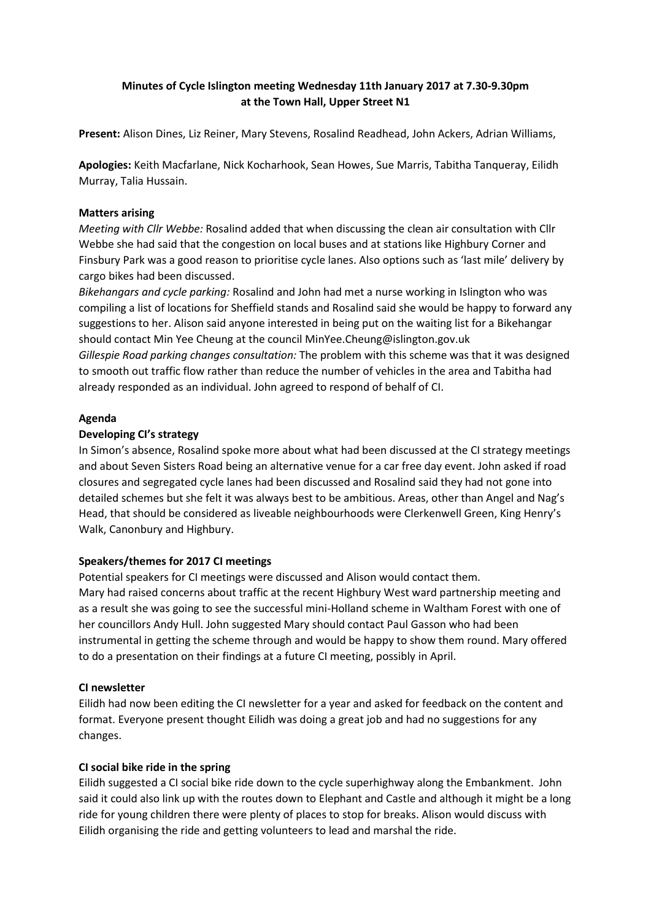# **Minutes of Cycle Islington meeting Wednesday 11th January 2017 at 7.30-9.30pm at the Town Hall, Upper Street N1**

**Present:** Alison Dines, Liz Reiner, Mary Stevens, Rosalind Readhead, John Ackers, Adrian Williams,

**Apologies:** Keith Macfarlane, Nick Kocharhook, Sean Howes, Sue Marris, Tabitha Tanqueray, Eilidh Murray, Talia Hussain.

#### **Matters arising**

*Meeting with Cllr Webbe:* Rosalind added that when discussing the clean air consultation with Cllr Webbe she had said that the congestion on local buses and at stations like Highbury Corner and Finsbury Park was a good reason to prioritise cycle lanes. Also options such as 'last mile' delivery by cargo bikes had been discussed.

*Bikehangars and cycle parking:* Rosalind and John had met a nurse working in Islington who was compiling a list of locations for Sheffield stands and Rosalind said she would be happy to forward any suggestions to her. Alison said anyone interested in being put on the waiting list for a Bikehangar should contact Min Yee Cheung at the council MinYee.Cheung@islington.gov.uk *Gillespie Road parking changes consultation:* The problem with this scheme was that it was designed to smooth out traffic flow rather than reduce the number of vehicles in the area and Tabitha had already responded as an individual. John agreed to respond of behalf of CI.

#### **Agenda**

#### **Developing CI's strategy**

In Simon's absence, Rosalind spoke more about what had been discussed at the CI strategy meetings and about Seven Sisters Road being an alternative venue for a car free day event. John asked if road closures and segregated cycle lanes had been discussed and Rosalind said they had not gone into detailed schemes but she felt it was always best to be ambitious. Areas, other than Angel and Nag's Head, that should be considered as liveable neighbourhoods were Clerkenwell Green, King Henry's Walk, Canonbury and Highbury.

## **Speakers/themes for 2017 CI meetings**

Potential speakers for CI meetings were discussed and Alison would contact them. Mary had raised concerns about traffic at the recent Highbury West ward partnership meeting and as a result she was going to see the successful mini-Holland scheme in Waltham Forest with one of her councillors Andy Hull. John suggested Mary should contact Paul Gasson who had been instrumental in getting the scheme through and would be happy to show them round. Mary offered to do a presentation on their findings at a future CI meeting, possibly in April.

## **CI newsletter**

Eilidh had now been editing the CI newsletter for a year and asked for feedback on the content and format. Everyone present thought Eilidh was doing a great job and had no suggestions for any changes.

## **CI social bike ride in the spring**

Eilidh suggested a CI social bike ride down to the cycle superhighway along the Embankment. John said it could also link up with the routes down to Elephant and Castle and although it might be a long ride for young children there were plenty of places to stop for breaks. Alison would discuss with Eilidh organising the ride and getting volunteers to lead and marshal the ride.